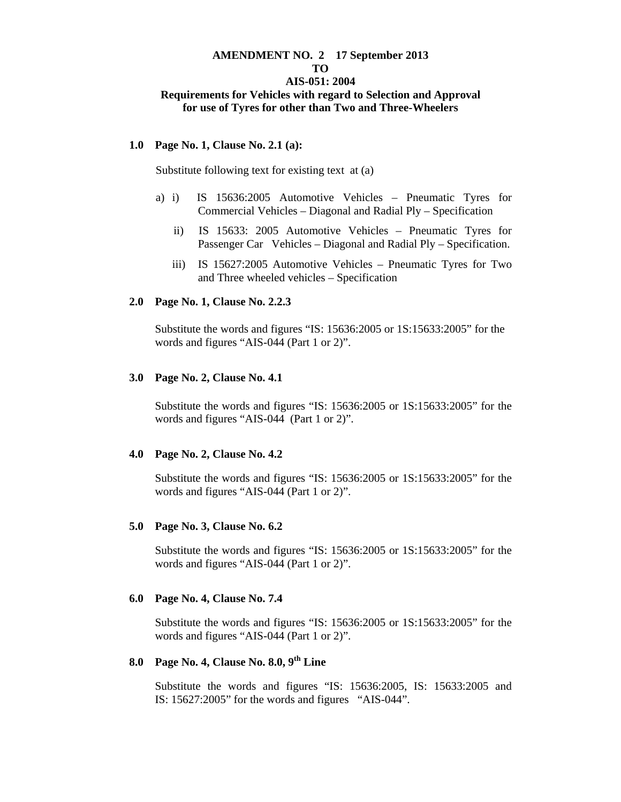# **AMENDMENT NO. 2 17 September 2013**

# **TO**

### **AIS-051: 2004 Requirements for Vehicles with regard to Selection and Approval for use of Tyres for other than Two and Three-Wheelers**

### **1.0 Page No. 1, Clause No. 2.1 (a):**

Substitute following text for existing text at (a)

- a) i) IS 15636:2005 Automotive Vehicles Pneumatic Tyres for Commercial Vehicles – Diagonal and Radial Ply – Specification
	- ii) IS 15633: 2005 Automotive Vehicles Pneumatic Tyres for Passenger Car Vehicles – Diagonal and Radial Ply – Specification.
	- iii) IS 15627:2005 Automotive Vehicles Pneumatic Tyres for Two and Three wheeled vehicles – Specification

### **2.0 Page No. 1, Clause No. 2.2.3**

Substitute the words and figures "IS: 15636:2005 or 1S:15633:2005" for the words and figures "AIS-044 (Part 1 or 2)".

### **3.0 Page No. 2, Clause No. 4.1**

Substitute the words and figures "IS: 15636:2005 or 1S:15633:2005" for the words and figures "AIS-044 (Part 1 or 2)".

### **4.0 Page No. 2, Clause No. 4.2**

Substitute the words and figures "IS: 15636:2005 or 1S:15633:2005" for the words and figures "AIS-044 (Part 1 or 2)".

### **5.0 Page No. 3, Clause No. 6.2**

Substitute the words and figures "IS: 15636:2005 or 1S:15633:2005" for the words and figures "AIS-044 (Part 1 or 2)".

### **6.0 Page No. 4, Clause No. 7.4**

Substitute the words and figures "IS: 15636:2005 or 1S:15633:2005" for the words and figures "AIS-044 (Part 1 or 2)".

### **8.0 Page No. 4, Clause No. 8.0, 9th Line**

 Substitute the words and figures "IS: 15636:2005, IS: 15633:2005 and IS: 15627:2005" for the words and figures "AIS-044".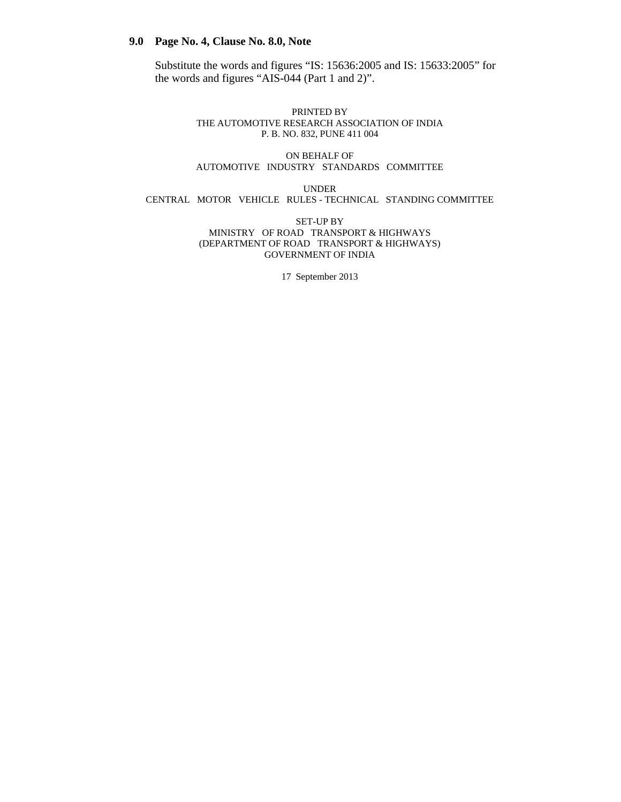### **9.0 Page No. 4, Clause No. 8.0, Note**

 Substitute the words and figures "IS: 15636:2005 and IS: 15633:2005" for the words and figures "AIS-044 (Part 1 and 2)".

#### PRINTED BY THE AUTOMOTIVE RESEARCH ASSOCIATION OF INDIA P. B. NO. 832, PUNE 411 004

### ON BEHALF OF AUTOMOTIVE INDUSTRY STANDARDS COMMITTEE

UNDER CENTRAL MOTOR VEHICLE RULES - TECHNICAL STANDING COMMITTEE

> SET-UP BY MINISTRY OF ROAD TRANSPORT & HIGHWAYS (DEPARTMENT OF ROAD TRANSPORT & HIGHWAYS) GOVERNMENT OF INDIA

> > 17 September 2013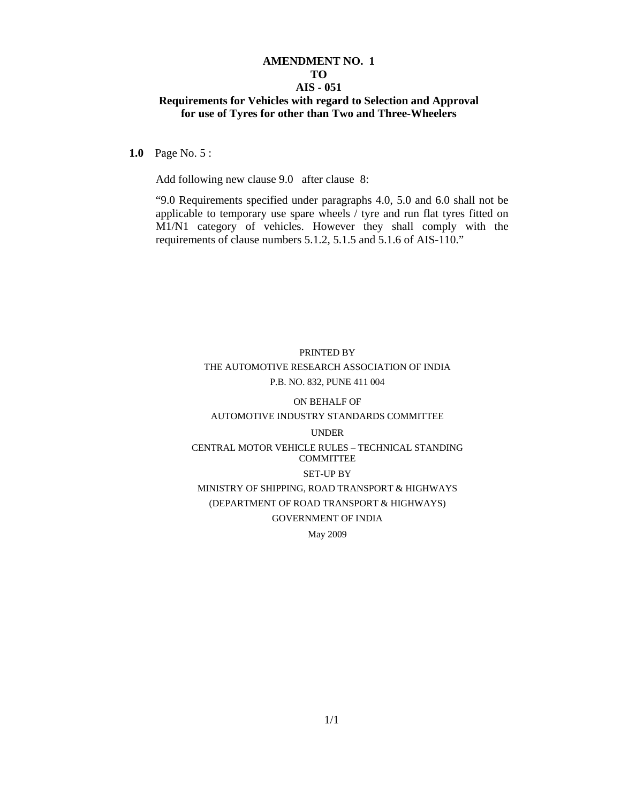### **AMENDMENT NO. 1 TO AIS - 051 Requirements for Vehicles with regard to Selection and Approval for use of Tyres for other than Two and Three-Wheelers**

**1.0** Page No. 5 :

Add following new clause 9.0 after clause 8:

"9.0 Requirements specified under paragraphs 4.0, 5.0 and 6.0 shall not be applicable to temporary use spare wheels / tyre and run flat tyres fitted on M1/N1 category of vehicles. However they shall comply with the requirements of clause numbers 5.1.2, 5.1.5 and 5.1.6 of AIS-110."

# PRINTED BY THE AUTOMOTIVE RESEARCH ASSOCIATION OF INDIA P.B. NO. 832, PUNE 411 004

### ON BEHALF OF AUTOMOTIVE INDUSTRY STANDARDS COMMITTEE

# UNDER CENTRAL MOTOR VEHICLE RULES – TECHNICAL STANDING **COMMITTEE** SET-UP BY MINISTRY OF SHIPPING, ROAD TRANSPORT & HIGHWAYS

# (DEPARTMENT OF ROAD TRANSPORT & HIGHWAYS) GOVERNMENT OF INDIA

May 2009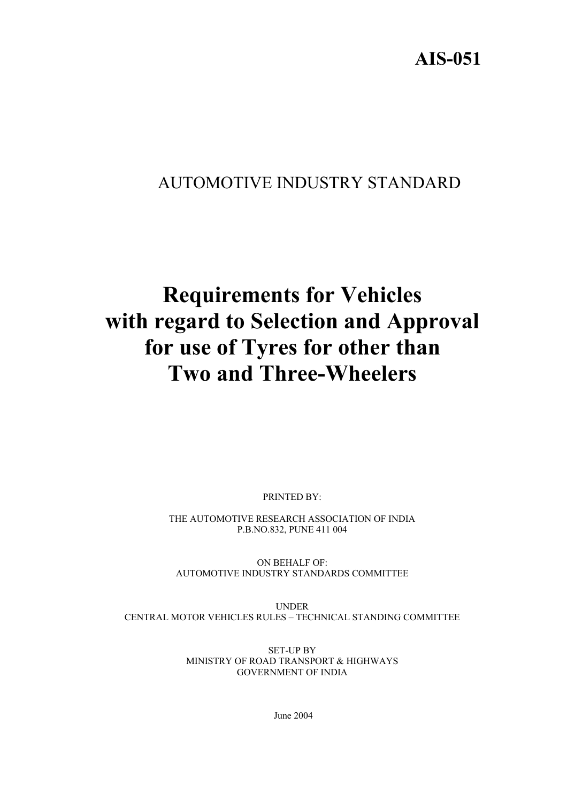**AIS-051**

# AUTOMOTIVE INDUSTRY STANDARD

# **Requirements for Vehicles with regard to Selection and Approval for use of Tyres for other than Two and Three-Wheelers**

PRINTED BY:

THE AUTOMOTIVE RESEARCH ASSOCIATION OF INDIA P.B.NO.832, PUNE 411 004

ON BEHALF OF: AUTOMOTIVE INDUSTRY STANDARDS COMMITTEE

UNDER CENTRAL MOTOR VEHICLES RULES – TECHNICAL STANDING COMMITTEE

> SET-UP BY MINISTRY OF ROAD TRANSPORT & HIGHWAYS GOVERNMENT OF INDIA

> > June 2004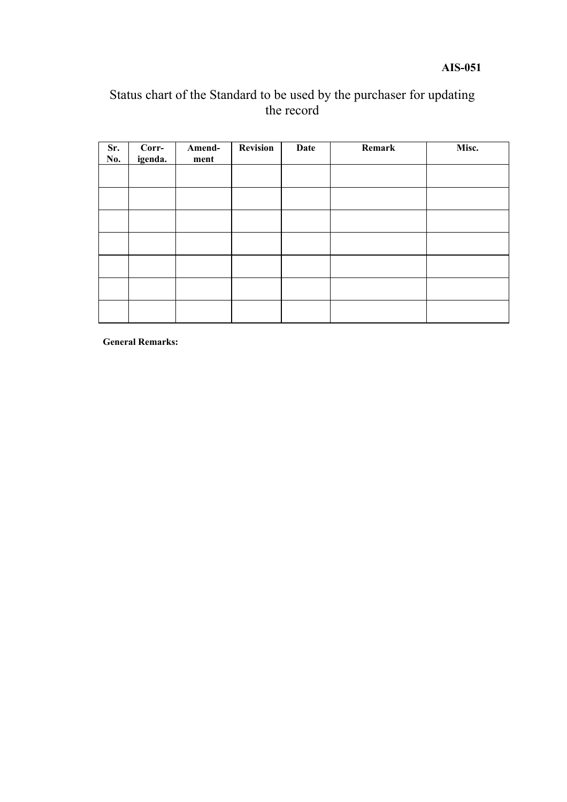# **AIS-051**

# Status chart of the Standard to be used by the purchaser for updating the record

| Sr.<br>No. | $Corr-$<br>igenda. | Amend-<br>ment | <b>Revision</b> | Date | Remark | Misc. |
|------------|--------------------|----------------|-----------------|------|--------|-------|
|            |                    |                |                 |      |        |       |
|            |                    |                |                 |      |        |       |
|            |                    |                |                 |      |        |       |
|            |                    |                |                 |      |        |       |
|            |                    |                |                 |      |        |       |
|            |                    |                |                 |      |        |       |
|            |                    |                |                 |      |        |       |

**General Remarks:**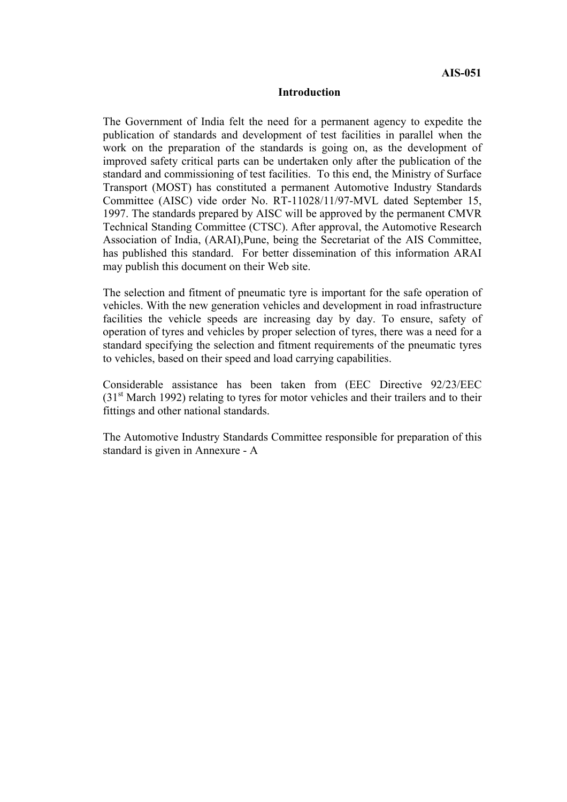### **Introduction**

The Government of India felt the need for a permanent agency to expedite the publication of standards and development of test facilities in parallel when the work on the preparation of the standards is going on, as the development of improved safety critical parts can be undertaken only after the publication of the standard and commissioning of test facilities. To this end, the Ministry of Surface Transport (MOST) has constituted a permanent Automotive Industry Standards Committee (AISC) vide order No. RT-11028/11/97-MVL dated September 15, 1997. The standards prepared by AISC will be approved by the permanent CMVR Technical Standing Committee (CTSC). After approval, the Automotive Research Association of India, (ARAI),Pune, being the Secretariat of the AIS Committee, has published this standard. For better dissemination of this information ARAI may publish this document on their Web site.

The selection and fitment of pneumatic tyre is important for the safe operation of vehicles. With the new generation vehicles and development in road infrastructure facilities the vehicle speeds are increasing day by day. To ensure, safety of operation of tyres and vehicles by proper selection of tyres, there was a need for a standard specifying the selection and fitment requirements of the pneumatic tyres to vehicles, based on their speed and load carrying capabilities.

Considerable assistance has been taken from (EEC Directive 92/23/EEC  $(31<sup>st</sup> March 1992)$  relating to tyres for motor vehicles and their trailers and to their fittings and other national standards.

The Automotive Industry Standards Committee responsible for preparation of this standard is given in Annexure - A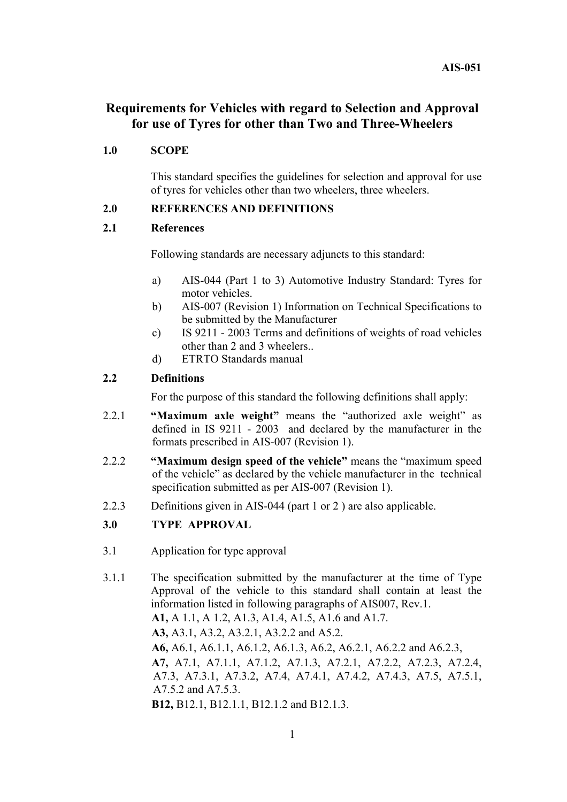# **Requirements for Vehicles with regard to Selection and Approval for use of Tyres for other than Two and Three-Wheelers**

## **1.0 SCOPE**

This standard specifies the guidelines for selection and approval for use of tyres for vehicles other than two wheelers, three wheelers.

## **2.0 REFERENCES AND DEFINITIONS**

### **2.1 References**

Following standards are necessary adjuncts to this standard:

- a) AIS-044 (Part 1 to 3) Automotive Industry Standard: Tyres for motor vehicles.
- b) AIS-007 (Revision 1) Information on Technical Specifications to be submitted by the Manufacturer
- c) IS 9211 2003 Terms and definitions of weights of road vehicles other than 2 and 3 wheelers..
- d) ETRTO Standards manual

### **2.2 Definitions**

For the purpose of this standard the following definitions shall apply:

- 2.2.1 **"Maximum axle weight"** means the "authorized axle weight" as defined in IS 9211 - 2003 and declared by the manufacturer in the formats prescribed in AIS-007 (Revision 1).
- 2.2.2 **"Maximum design speed of the vehicle"** means the "maximum speed of the vehicle" as declared by the vehicle manufacturer in the technical specification submitted as per AIS-007 (Revision 1).
- 2.2.3 Definitions given in AIS-044 (part 1 or 2 ) are also applicable.

### **3.0 TYPE APPROVAL**

- 3.1 Application for type approval
- 3.1.1 The specification submitted by the manufacturer at the time of Type Approval of the vehicle to this standard shall contain at least the information listed in following paragraphs of AIS007, Rev.1.  **A1,** A 1.1, A 1.2, A1.3, A1.4, A1.5, A1.6 and A1.7.  **A3,** A3.1, A3.2, A3.2.1, A3.2.2 and A5.2.  **A6,** A6.1, A6.1.1, A6.1.2, A6.1.3, A6.2, A6.2.1, A6.2.2 and A6.2.3,  **A7,** A7.1, A7.1.1, A7.1.2, A7.1.3, A7.2.1, A7.2.2, A7.2.3, A7.2.4, A7.3, A7.3.1, A7.3.2, A7.4, A7.4.1, A7.4.2, A7.4.3, A7.5, A7.5.1, A7.5.2 and A7.5.3.  **B12,** B12.1, B12.1.1, B12.1.2 and B12.1.3.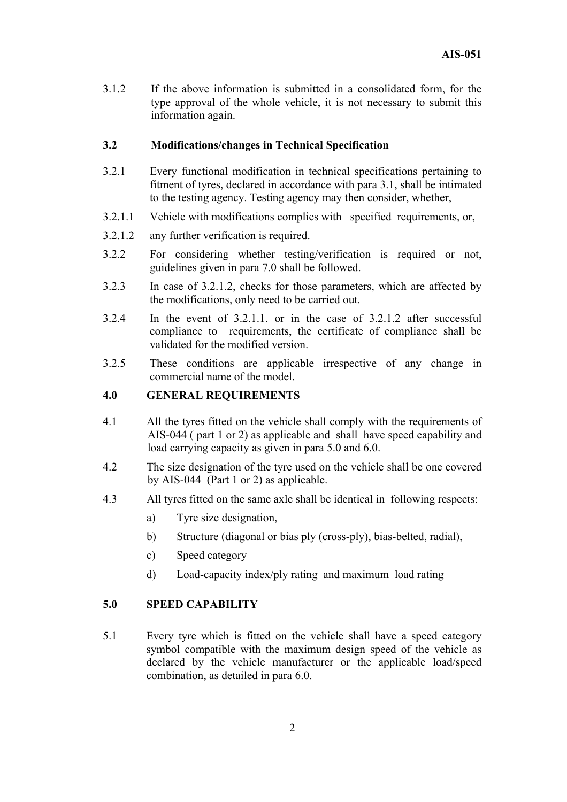3.1.2 If the above information is submitted in a consolidated form, for the type approval of the whole vehicle, it is not necessary to submit this information again.

# **3.2 Modifications/changes in Technical Specification**

- 3.2.1 Every functional modification in technical specifications pertaining to fitment of tyres, declared in accordance with para 3.1, shall be intimated to the testing agency. Testing agency may then consider, whether,
- 3.2.1.1 Vehicle with modifications complies with specified requirements, or,
- 3.2.1.2 any further verification is required.
- 3.2.2 For considering whether testing/verification is required or not, guidelines given in para 7.0 shall be followed.
- 3.2.3 In case of 3.2.1.2, checks for those parameters, which are affected by the modifications, only need to be carried out.
- 3.2.4 In the event of 3.2.1.1. or in the case of 3.2.1.2 after successful compliance to requirements, the certificate of compliance shall be validated for the modified version.
- 3.2.5 These conditions are applicable irrespective of any change in commercial name of the model.

### **4.0 GENERAL REQUIREMENTS**

- 4.1 All the tyres fitted on the vehicle shall comply with the requirements of AIS-044 ( part 1 or 2) as applicable and shall have speed capability and load carrying capacity as given in para 5.0 and 6.0.
- 4.2 The size designation of the tyre used on the vehicle shall be one covered by AIS-044 (Part 1 or 2) as applicable.
- 4.3 All tyres fitted on the same axle shall be identical in following respects:
	- a) Tyre size designation,
	- b) Structure (diagonal or bias ply (cross-ply), bias-belted, radial),
	- c) Speed category
	- d) Load-capacity index/ply rating and maximum load rating

### **5.0 SPEED CAPABILITY**

5.1 Every tyre which is fitted on the vehicle shall have a speed category symbol compatible with the maximum design speed of the vehicle as declared by the vehicle manufacturer or the applicable load/speed combination, as detailed in para 6.0.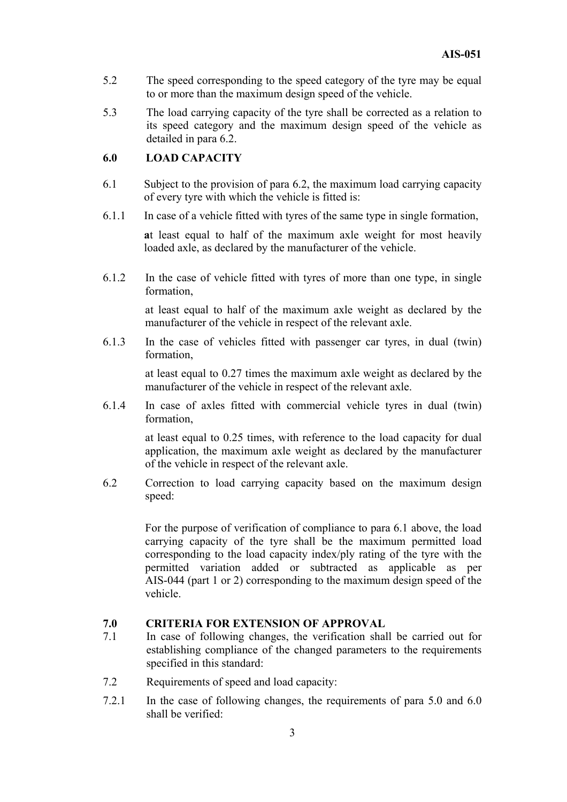- 5.2 The speed corresponding to the speed category of the tyre may be equal to or more than the maximum design speed of the vehicle.
- 5.3 The load carrying capacity of the tyre shall be corrected as a relation to its speed category and the maximum design speed of the vehicle as detailed in para 6.2.

# **6.0 LOAD CAPACITY**

- 6.1 Subject to the provision of para 6.2, the maximum load carrying capacity of every tyre with which the vehicle is fitted is:
- 6.1.1 In case of a vehicle fitted with tyres of the same type in single formation,

**a**t least equal to half of the maximum axle weight for most heavily loaded axle, as declared by the manufacturer of the vehicle.

6.1.2 In the case of vehicle fitted with tyres of more than one type, in single formation,

> at least equal to half of the maximum axle weight as declared by the manufacturer of the vehicle in respect of the relevant axle.

6.1.3 In the case of vehicles fitted with passenger car tyres, in dual (twin) formation,

> at least equal to 0.27 times the maximum axle weight as declared by the manufacturer of the vehicle in respect of the relevant axle.

6.1.4 In case of axles fitted with commercial vehicle tyres in dual (twin) formation,

> at least equal to 0.25 times, with reference to the load capacity for dual application, the maximum axle weight as declared by the manufacturer of the vehicle in respect of the relevant axle.

6.2 Correction to load carrying capacity based on the maximum design speed:

> For the purpose of verification of compliance to para 6.1 above, the load carrying capacity of the tyre shall be the maximum permitted load corresponding to the load capacity index/ply rating of the tyre with the permitted variation added or subtracted as applicable as per AIS-044 (part 1 or 2) corresponding to the maximum design speed of the vehicle.

### **7.0 CRITERIA FOR EXTENSION OF APPROVAL**

- 7.1 In case of following changes, the verification shall be carried out for establishing compliance of the changed parameters to the requirements specified in this standard:
- 7.2 Requirements of speed and load capacity:
- 7.2.1 In the case of following changes, the requirements of para 5.0 and 6.0 shall be verified: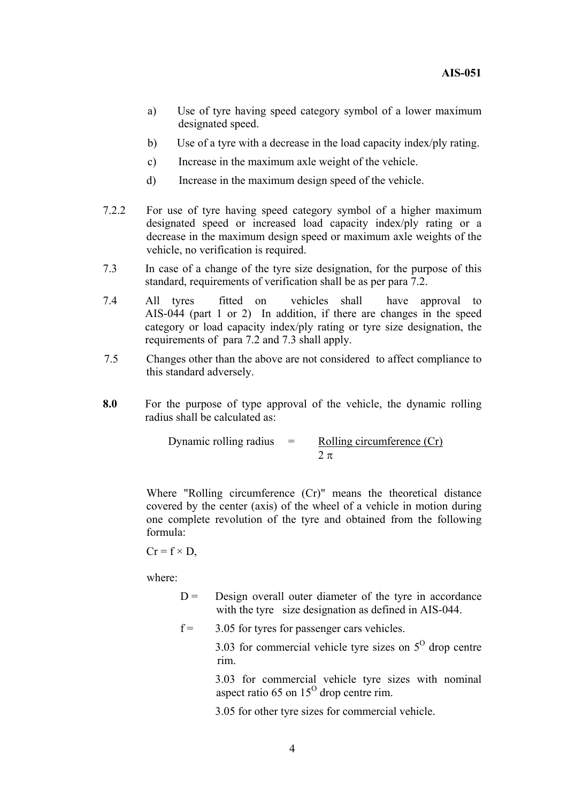- a) Use of tyre having speed category symbol of a lower maximum designated speed.
- b) Use of a tyre with a decrease in the load capacity index/ply rating.
- c) Increase in the maximum axle weight of the vehicle.
- d) Increase in the maximum design speed of the vehicle.
- 7.2.2 For use of tyre having speed category symbol of a higher maximum designated speed or increased load capacity index/ply rating or a decrease in the maximum design speed or maximum axle weights of the vehicle, no verification is required.
- 7.3 In case of a change of the tyre size designation, for the purpose of this standard, requirements of verification shall be as per para 7.2.
- 7.4 All tyres fitted on vehicles shall have approval to AIS-044 (part 1 or 2) In addition, if there are changes in the speed category or load capacity index/ply rating or tyre size designation, the requirements of para 7.2 and 7.3 shall apply.
- 7.5 Changes other than the above are not considered to affect compliance to this standard adversely.
- **8.0** For the purpose of type approval of the vehicle, the dynamic rolling radius shall be calculated as:

Dynamic rolling radius  $=$  Rolling circumference  $(Cr)$  $2 \pi$ 

Where "Rolling circumference (Cr)" means the theoretical distance covered by the center (axis) of the wheel of a vehicle in motion during one complete revolution of the tyre and obtained from the following formula:

$$
Cr = f \times D,
$$

where:

 $D =$  Design overall outer diameter of the tyre in accordance with the tyre size designation as defined in AIS-044.

 $f = 3.05$  for tyres for passenger cars vehicles.

3.03 for commercial vehicle tyre sizes on  $5^\circ$  drop centre rim.

3.03 for commercial vehicle tyre sizes with nominal aspect ratio 65 on  $15^{\circ}$  drop centre rim.

3.05 for other tyre sizes for commercial vehicle.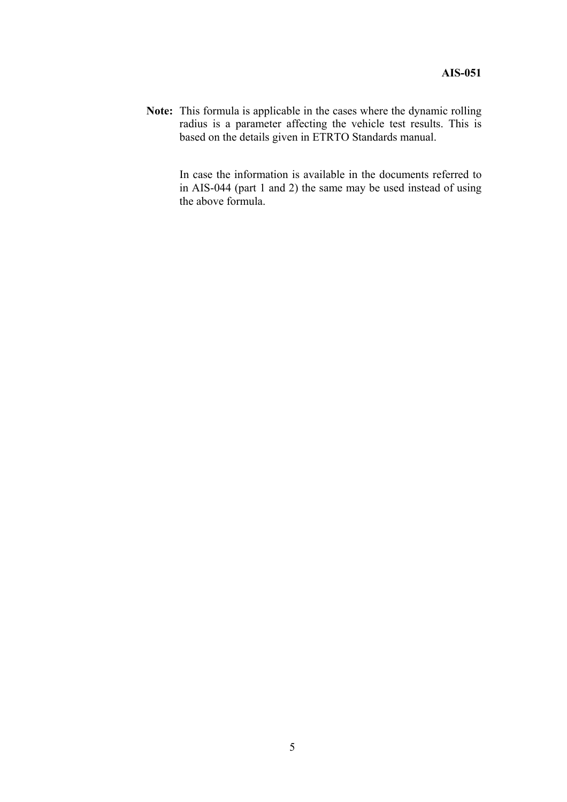**Note:** This formula is applicable in the cases where the dynamic rolling radius is a parameter affecting the vehicle test results. This is based on the details given in ETRTO Standards manual.

> In case the information is available in the documents referred to in AIS-044 (part 1 and 2) the same may be used instead of using the above formula.